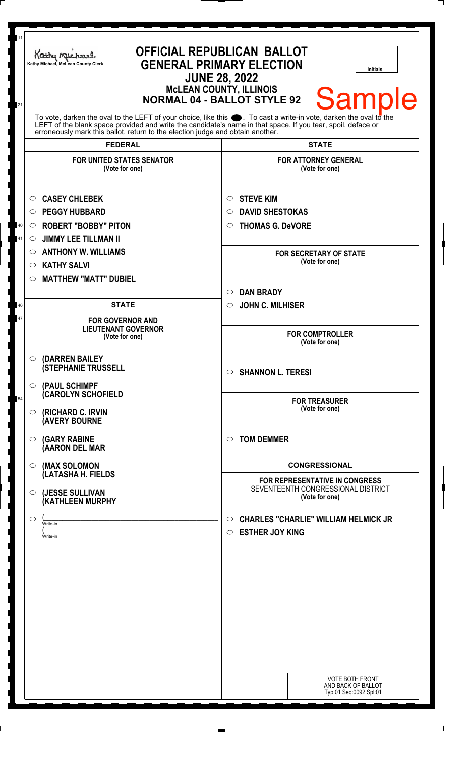| 11<br>21                                                                                                                                                                                                                                                                                                               | <b>OFFICIAL REPUBLICAN BALLOT</b><br>Kathy Michael<br><b>GENERAL PRIMARY ELECTION</b><br>Kathy Michael, McLean County Clerk<br>Initials<br><b>JUNE 28, 2022</b><br><b>MCLEAN COUNTY, ILLINOIS</b><br><b>Sample</b><br><b>NORMAL 04 - BALLOT STYLE 92</b> |                                                                                             |
|------------------------------------------------------------------------------------------------------------------------------------------------------------------------------------------------------------------------------------------------------------------------------------------------------------------------|----------------------------------------------------------------------------------------------------------------------------------------------------------------------------------------------------------------------------------------------------------|---------------------------------------------------------------------------------------------|
| To vote, darken the oval to the LEFT of your choice, like this $\bullet$ . To cast a write-in vote, darken the oval to the LEFT of the blank space provided and write the candidate's name in that space. If you tear, spoil, deface<br>erroneously mark this ballot, return to the election judge and obtain another. |                                                                                                                                                                                                                                                          |                                                                                             |
|                                                                                                                                                                                                                                                                                                                        | <b>FEDERAL</b>                                                                                                                                                                                                                                           | <b>STATE</b>                                                                                |
|                                                                                                                                                                                                                                                                                                                        | <b>FOR UNITED STATES SENATOR</b><br>(Vote for one)                                                                                                                                                                                                       | <b>FOR ATTORNEY GENERAL</b><br>(Vote for one)                                               |
|                                                                                                                                                                                                                                                                                                                        | <b>CASEY CHLEBEK</b><br>$\circ$                                                                                                                                                                                                                          | <b>STEVE KIM</b><br>$\circ$                                                                 |
|                                                                                                                                                                                                                                                                                                                        | <b>PEGGY HUBBARD</b><br>$\circ$                                                                                                                                                                                                                          | <b>DAVID SHESTOKAS</b><br>$\circ$                                                           |
| 40                                                                                                                                                                                                                                                                                                                     | <b>ROBERT "BOBBY" PITON</b><br>$\circ$                                                                                                                                                                                                                   | <b>THOMAS G. DeVORE</b><br>$\circ$                                                          |
| 41                                                                                                                                                                                                                                                                                                                     | <b>JIMMY LEE TILLMAN II</b><br>$\circ$                                                                                                                                                                                                                   |                                                                                             |
|                                                                                                                                                                                                                                                                                                                        | <b>ANTHONY W. WILLIAMS</b><br>$\circ$                                                                                                                                                                                                                    | <b>FOR SECRETARY OF STATE</b><br>(Vote for one)                                             |
|                                                                                                                                                                                                                                                                                                                        | <b>KATHY SALVI</b><br>O                                                                                                                                                                                                                                  |                                                                                             |
|                                                                                                                                                                                                                                                                                                                        | <b>MATTHEW "MATT" DUBIEL</b><br>◯                                                                                                                                                                                                                        |                                                                                             |
| 46                                                                                                                                                                                                                                                                                                                     | <b>STATE</b>                                                                                                                                                                                                                                             | <b>DAN BRADY</b><br>$\circ$<br><b>JOHN C. MILHISER</b><br>$\circ$                           |
| 47                                                                                                                                                                                                                                                                                                                     |                                                                                                                                                                                                                                                          |                                                                                             |
|                                                                                                                                                                                                                                                                                                                        | <b>FOR GOVERNOR AND</b><br><b>LIEUTENANT GOVERNOR</b><br>(Vote for one)                                                                                                                                                                                  | <b>FOR COMPTROLLER</b><br>(Vote for one)                                                    |
|                                                                                                                                                                                                                                                                                                                        | (DARREN BAILEY<br>$\circ$<br><b>(STEPHANIE TRUSSELL</b>                                                                                                                                                                                                  | <b>SHANNON L. TERESI</b><br>$\bigcirc$                                                      |
| 54                                                                                                                                                                                                                                                                                                                     | (PAUL SCHIMPF<br>$\circ$<br><b>CAROLYN SCHOFIELD</b><br>(RICHARD C. IRVIN<br>$\circ$<br><b>(AVERY BOURNE</b>                                                                                                                                             | <b>FOR TREASURER</b><br>(Vote for one)                                                      |
|                                                                                                                                                                                                                                                                                                                        | <b>(GARY RABINE</b><br>$\circ$<br>(AARON DEL MAR                                                                                                                                                                                                         | <b>TOM DEMMER</b><br>$\circ$                                                                |
|                                                                                                                                                                                                                                                                                                                        | (MAX SOLOMON<br>$\circ$                                                                                                                                                                                                                                  | <b>CONGRESSIONAL</b>                                                                        |
|                                                                                                                                                                                                                                                                                                                        | (LATASHA H. FIELDS                                                                                                                                                                                                                                       | <b>FOR REPRESENTATIVE IN CONGRESS</b>                                                       |
|                                                                                                                                                                                                                                                                                                                        | (JESSE SULLIVAN<br>$\circ$<br>(KATHLEEN MURPHY                                                                                                                                                                                                           | SEVENTEENTH CONGRESSIONAL DISTRICT<br>(Vote for one)                                        |
|                                                                                                                                                                                                                                                                                                                        | O<br>Write-in<br>Write-in                                                                                                                                                                                                                                | <b>CHARLES "CHARLIE" WILLIAM HELMICK JR</b><br>$\circ$<br><b>ESTHER JOY KING</b><br>$\circ$ |
|                                                                                                                                                                                                                                                                                                                        |                                                                                                                                                                                                                                                          |                                                                                             |
|                                                                                                                                                                                                                                                                                                                        |                                                                                                                                                                                                                                                          |                                                                                             |
|                                                                                                                                                                                                                                                                                                                        |                                                                                                                                                                                                                                                          |                                                                                             |
|                                                                                                                                                                                                                                                                                                                        |                                                                                                                                                                                                                                                          |                                                                                             |
|                                                                                                                                                                                                                                                                                                                        |                                                                                                                                                                                                                                                          | <b>VOTE BOTH FRONT</b><br>AND BACK OF BALLOT<br>Typ:01 Seq:0092 Spl:01                      |